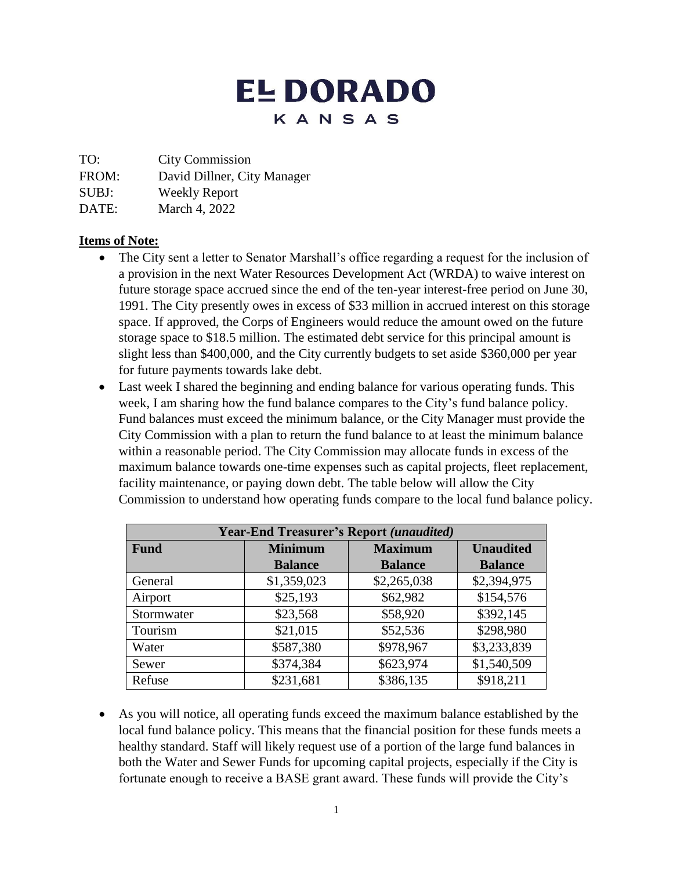# **EL DORADO** KANSAS

TO: City Commission

FROM: David Dillner, City Manager

SUBJ: Weekly Report

DATE: March 4, 2022

## **Items of Note:**

- The City sent a letter to Senator Marshall's office regarding a request for the inclusion of a provision in the next Water Resources Development Act (WRDA) to waive interest on future storage space accrued since the end of the ten-year interest-free period on June 30, 1991. The City presently owes in excess of \$33 million in accrued interest on this storage space. If approved, the Corps of Engineers would reduce the amount owed on the future storage space to \$18.5 million. The estimated debt service for this principal amount is slight less than \$400,000, and the City currently budgets to set aside \$360,000 per year for future payments towards lake debt.
- Last week I shared the beginning and ending balance for various operating funds. This week, I am sharing how the fund balance compares to the City's fund balance policy. Fund balances must exceed the minimum balance, or the City Manager must provide the City Commission with a plan to return the fund balance to at least the minimum balance within a reasonable period. The City Commission may allocate funds in excess of the maximum balance towards one-time expenses such as capital projects, fleet replacement, facility maintenance, or paying down debt. The table below will allow the City Commission to understand how operating funds compare to the local fund balance policy.

| <b>Year-End Treasurer's Report (unaudited)</b> |                |                |                  |
|------------------------------------------------|----------------|----------------|------------------|
| <b>Fund</b>                                    | <b>Minimum</b> | <b>Maximum</b> | <b>Unaudited</b> |
|                                                | <b>Balance</b> | <b>Balance</b> | <b>Balance</b>   |
| General                                        | \$1,359,023    | \$2,265,038    | \$2,394,975      |
| Airport                                        | \$25,193       | \$62,982       | \$154,576        |
| Stormwater                                     | \$23,568       | \$58,920       | \$392,145        |
| Tourism                                        | \$21,015       | \$52,536       | \$298,980        |
| Water                                          | \$587,380      | \$978,967      | \$3,233,839      |
| Sewer                                          | \$374,384      | \$623,974      | \$1,540,509      |
| Refuse                                         | \$231,681      | \$386,135      | \$918,211        |

 As you will notice, all operating funds exceed the maximum balance established by the local fund balance policy. This means that the financial position for these funds meets a healthy standard. Staff will likely request use of a portion of the large fund balances in both the Water and Sewer Funds for upcoming capital projects, especially if the City is fortunate enough to receive a BASE grant award. These funds will provide the City's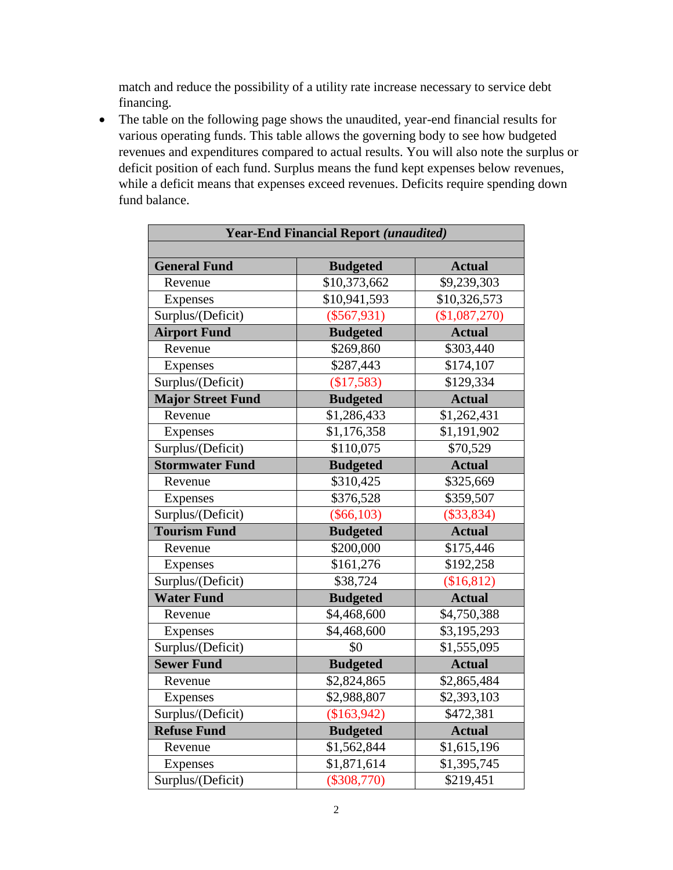match and reduce the possibility of a utility rate increase necessary to service debt financing.

 The table on the following page shows the unaudited, year-end financial results for various operating funds. This table allows the governing body to see how budgeted revenues and expenditures compared to actual results. You will also note the surplus or deficit position of each fund. Surplus means the fund kept expenses below revenues, while a deficit means that expenses exceed revenues. Deficits require spending down fund balance.

| <b>Year-End Financial Report (unaudited)</b> |                          |               |  |  |
|----------------------------------------------|--------------------------|---------------|--|--|
|                                              |                          |               |  |  |
| <b>General Fund</b>                          | <b>Budgeted</b>          | <b>Actual</b> |  |  |
| Revenue                                      | $\overline{$}10,373,662$ | \$9,239,303   |  |  |
| Expenses                                     | \$10,941,593             | \$10,326,573  |  |  |
| Surplus/(Deficit)                            | $(\$567,931)$            | (\$1,087,270) |  |  |
| <b>Airport Fund</b>                          | <b>Budgeted</b>          | <b>Actual</b> |  |  |
| Revenue                                      | \$269,860                | \$303,440     |  |  |
| Expenses                                     | \$287,443                | \$174,107     |  |  |
| Surplus/(Deficit)                            | (\$17,583)               | \$129,334     |  |  |
| <b>Major Street Fund</b>                     | <b>Budgeted</b>          | <b>Actual</b> |  |  |
| Revenue                                      | \$1,286,433              | \$1,262,431   |  |  |
| Expenses                                     | \$1,176,358              | \$1,191,902   |  |  |
| Surplus/(Deficit)                            | \$110,075                | \$70,529      |  |  |
| <b>Stormwater Fund</b>                       | <b>Budgeted</b>          | <b>Actual</b> |  |  |
| Revenue                                      | \$310,425                | \$325,669     |  |  |
| Expenses                                     | \$376,528                | \$359,507     |  |  |
| Surplus/(Deficit)                            | $(\$66,103)$             | $(\$33,834)$  |  |  |
| <b>Tourism Fund</b>                          | <b>Budgeted</b>          | <b>Actual</b> |  |  |
| Revenue                                      | \$200,000                | \$175,446     |  |  |
| Expenses                                     | \$161,276                | \$192,258     |  |  |
| Surplus/(Deficit)                            | \$38,724                 | \$16,812      |  |  |
| <b>Water Fund</b>                            | <b>Budgeted</b>          | <b>Actual</b> |  |  |
| Revenue                                      | \$4,468,600              | \$4,750,388   |  |  |
| Expenses                                     | \$4,468,600              | \$3,195,293   |  |  |
| Surplus/(Deficit)                            | \$0                      | \$1,555,095   |  |  |
| <b>Sewer Fund</b>                            | <b>Budgeted</b>          | <b>Actual</b> |  |  |
| Revenue                                      | \$2,824,865              | \$2,865,484   |  |  |
| Expenses                                     | \$2,988,807              | \$2,393,103   |  |  |
| Surplus/(Deficit)                            | (\$163,942)              | \$472,381     |  |  |
| <b>Refuse Fund</b>                           | <b>Budgeted</b>          | <b>Actual</b> |  |  |
| Revenue                                      | \$1,562,844              | \$1,615,196   |  |  |
| Expenses                                     | \$1,871,614              | \$1,395,745   |  |  |
| Surplus/(Deficit)                            | $(\$308,770)$            | \$219,451     |  |  |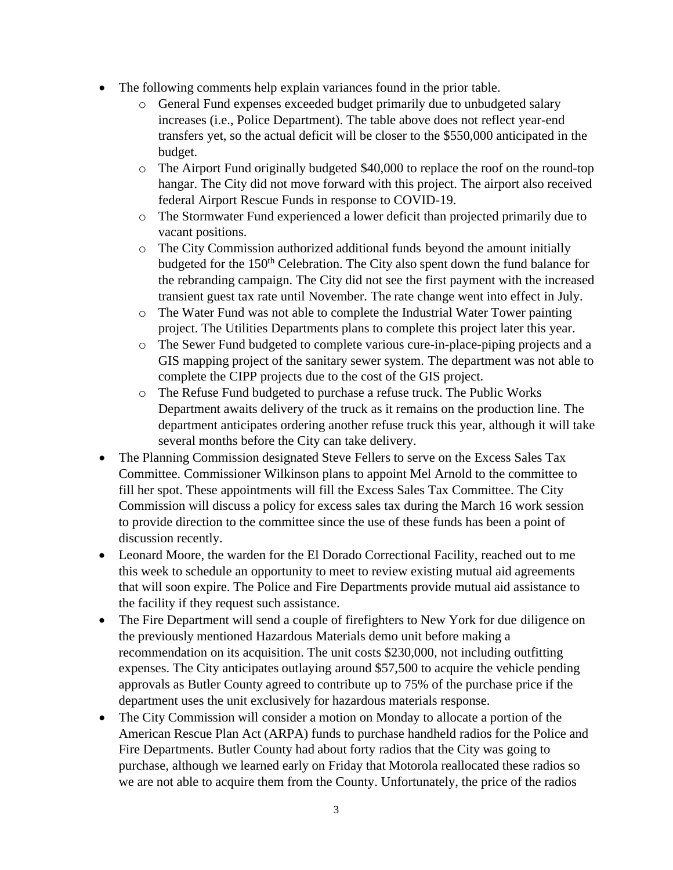- The following comments help explain variances found in the prior table.
	- o General Fund expenses exceeded budget primarily due to unbudgeted salary increases (i.e., Police Department). The table above does not reflect year-end transfers yet, so the actual deficit will be closer to the \$550,000 anticipated in the budget.
	- o The Airport Fund originally budgeted \$40,000 to replace the roof on the round-top hangar. The City did not move forward with this project. The airport also received federal Airport Rescue Funds in response to COVID-19.
	- o The Stormwater Fund experienced a lower deficit than projected primarily due to vacant positions.
	- o The City Commission authorized additional funds beyond the amount initially budgeted for the 150<sup>th</sup> Celebration. The City also spent down the fund balance for the rebranding campaign. The City did not see the first payment with the increased transient guest tax rate until November. The rate change went into effect in July.
	- o The Water Fund was not able to complete the Industrial Water Tower painting project. The Utilities Departments plans to complete this project later this year.
	- o The Sewer Fund budgeted to complete various cure-in-place-piping projects and a GIS mapping project of the sanitary sewer system. The department was not able to complete the CIPP projects due to the cost of the GIS project.
	- o The Refuse Fund budgeted to purchase a refuse truck. The Public Works Department awaits delivery of the truck as it remains on the production line. The department anticipates ordering another refuse truck this year, although it will take several months before the City can take delivery.
- The Planning Commission designated Steve Fellers to serve on the Excess Sales Tax Committee. Commissioner Wilkinson plans to appoint Mel Arnold to the committee to fill her spot. These appointments will fill the Excess Sales Tax Committee. The City Commission will discuss a policy for excess sales tax during the March 16 work session to provide direction to the committee since the use of these funds has been a point of discussion recently.
- Leonard Moore, the warden for the El Dorado Correctional Facility, reached out to me this week to schedule an opportunity to meet to review existing mutual aid agreements that will soon expire. The Police and Fire Departments provide mutual aid assistance to the facility if they request such assistance.
- The Fire Department will send a couple of firefighters to New York for due diligence on the previously mentioned Hazardous Materials demo unit before making a recommendation on its acquisition. The unit costs \$230,000, not including outfitting expenses. The City anticipates outlaying around \$57,500 to acquire the vehicle pending approvals as Butler County agreed to contribute up to 75% of the purchase price if the department uses the unit exclusively for hazardous materials response.
- The City Commission will consider a motion on Monday to allocate a portion of the American Rescue Plan Act (ARPA) funds to purchase handheld radios for the Police and Fire Departments. Butler County had about forty radios that the City was going to purchase, although we learned early on Friday that Motorola reallocated these radios so we are not able to acquire them from the County. Unfortunately, the price of the radios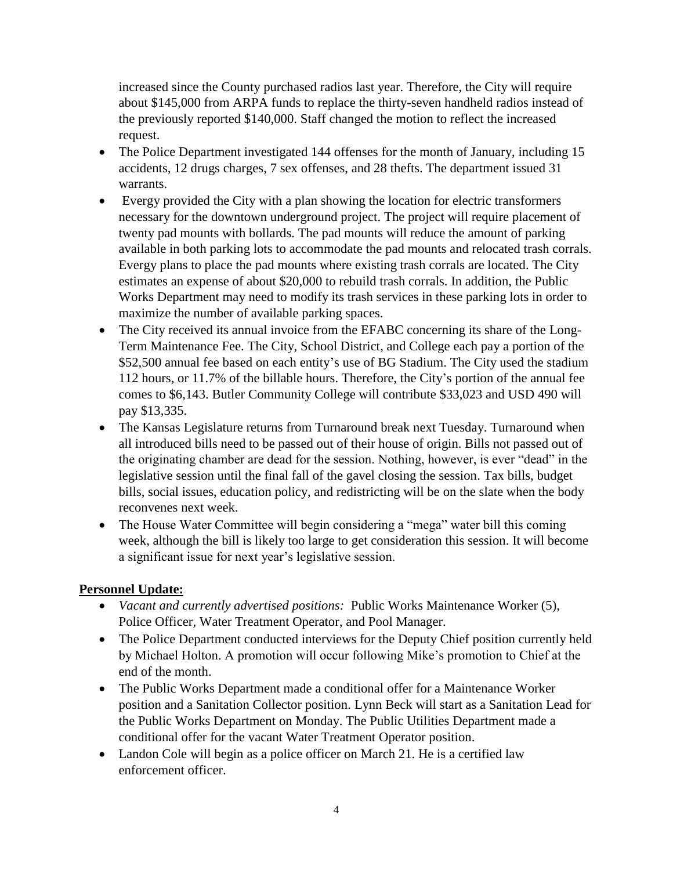increased since the County purchased radios last year. Therefore, the City will require about \$145,000 from ARPA funds to replace the thirty-seven handheld radios instead of the previously reported \$140,000. Staff changed the motion to reflect the increased request.

- The Police Department investigated 144 offenses for the month of January, including 15 accidents, 12 drugs charges, 7 sex offenses, and 28 thefts. The department issued 31 warrants.
- Evergy provided the City with a plan showing the location for electric transformers necessary for the downtown underground project. The project will require placement of twenty pad mounts with bollards. The pad mounts will reduce the amount of parking available in both parking lots to accommodate the pad mounts and relocated trash corrals. Evergy plans to place the pad mounts where existing trash corrals are located. The City estimates an expense of about \$20,000 to rebuild trash corrals. In addition, the Public Works Department may need to modify its trash services in these parking lots in order to maximize the number of available parking spaces.
- The City received its annual invoice from the EFABC concerning its share of the Long-Term Maintenance Fee. The City, School District, and College each pay a portion of the \$52,500 annual fee based on each entity's use of BG Stadium. The City used the stadium 112 hours, or 11.7% of the billable hours. Therefore, the City's portion of the annual fee comes to \$6,143. Butler Community College will contribute \$33,023 and USD 490 will pay \$13,335.
- The Kansas Legislature returns from Turnaround break next Tuesday. Turnaround when all introduced bills need to be passed out of their house of origin. Bills not passed out of the originating chamber are dead for the session. Nothing, however, is ever "dead" in the legislative session until the final fall of the gavel closing the session. Tax bills, budget bills, social issues, education policy, and redistricting will be on the slate when the body reconvenes next week.
- The House Water Committee will begin considering a "mega" water bill this coming week, although the bill is likely too large to get consideration this session. It will become a significant issue for next year's legislative session.

#### **Personnel Update:**

- *Vacant and currently advertised positions:* Public Works Maintenance Worker (5), Police Officer, Water Treatment Operator, and Pool Manager.
- The Police Department conducted interviews for the Deputy Chief position currently held by Michael Holton. A promotion will occur following Mike's promotion to Chief at the end of the month.
- The Public Works Department made a conditional offer for a Maintenance Worker position and a Sanitation Collector position. Lynn Beck will start as a Sanitation Lead for the Public Works Department on Monday. The Public Utilities Department made a conditional offer for the vacant Water Treatment Operator position.
- Landon Cole will begin as a police officer on March 21. He is a certified law enforcement officer.